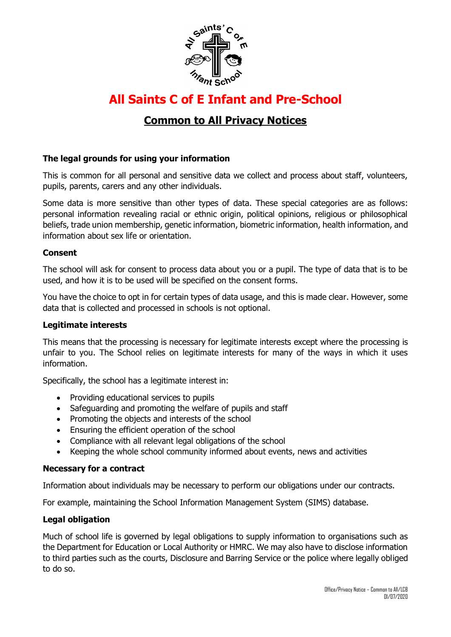

# **All Saints C of E Infant and Pre-School**

# **Common to All Privacy Notices**

## **The legal grounds for using your information**

This is common for all personal and sensitive data we collect and process about staff, volunteers, pupils, parents, carers and any other individuals.

Some data is more sensitive than other types of data. These special categories are as follows: personal information revealing racial or ethnic origin, political opinions, religious or philosophical beliefs, trade union membership, genetic information, biometric information, health information, and information about sex life or orientation.

#### **Consent**

The school will ask for consent to process data about you or a pupil. The type of data that is to be used, and how it is to be used will be specified on the consent forms.

You have the choice to opt in for certain types of data usage, and this is made clear. However, some data that is collected and processed in schools is not optional.

#### **Legitimate interests**

This means that the processing is necessary for legitimate interests except where the processing is unfair to you. The School relies on legitimate interests for many of the ways in which it uses information.

Specifically, the school has a legitimate interest in:

- Providing educational services to pupils
- Safeguarding and promoting the welfare of pupils and staff
- Promoting the objects and interests of the school
- Ensuring the efficient operation of the school
- Compliance with all relevant legal obligations of the school
- Keeping the whole school community informed about events, news and activities

#### **Necessary for a contract**

Information about individuals may be necessary to perform our obligations under our contracts.

For example, maintaining the School Information Management System (SIMS) database.

#### **Legal obligation**

Much of school life is governed by legal obligations to supply information to organisations such as the Department for Education or Local Authority or HMRC. We may also have to disclose information to third parties such as the courts, Disclosure and Barring Service or the police where legally obliged to do so.